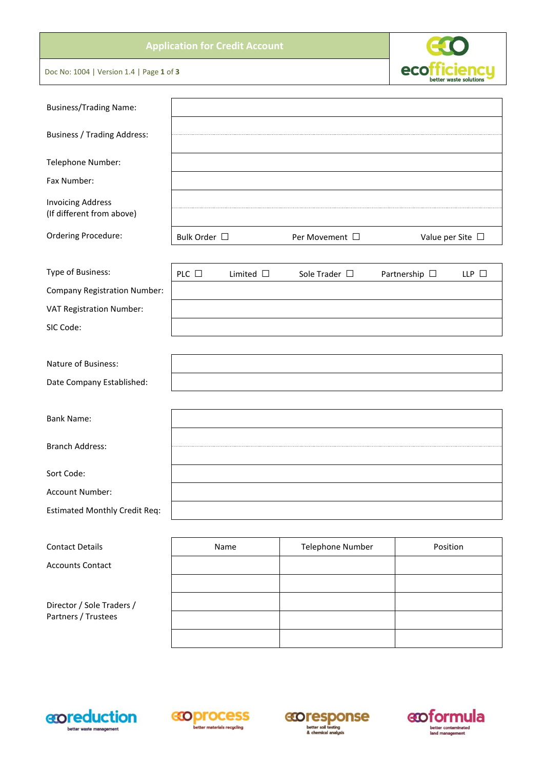# **Application for Credit Account**

Doc No: 1004 | Version 1.4 | Page **1** of **3**

| <b>Business/Trading Name:</b>                         |              |                |                     |                    |                       |
|-------------------------------------------------------|--------------|----------------|---------------------|--------------------|-----------------------|
| <b>Business / Trading Address:</b>                    |              |                |                     |                    |                       |
| Telephone Number:                                     |              |                |                     |                    |                       |
| Fax Number:                                           |              |                |                     |                    |                       |
| <b>Invoicing Address</b><br>(If different from above) |              |                |                     |                    |                       |
| Ordering Procedure:                                   | Bulk Order □ |                | Per Movement $\Box$ |                    | Value per Site $\Box$ |
| Type of Business:                                     | PLC $\Box$   | Limited $\Box$ | Sole Trader $\Box$  | Partnership $\Box$ | LLP $\Box$            |
| Company Registration Number:                          |              |                |                     |                    |                       |
| VAT Registration Number:                              |              |                |                     |                    |                       |
| SIC Code:                                             |              |                |                     |                    |                       |
|                                                       |              |                |                     |                    |                       |
| Nature of Business:                                   |              |                |                     |                    |                       |
| Date Company Established:                             |              |                |                     |                    |                       |
|                                                       |              |                |                     |                    |                       |
| <b>Bank Name:</b>                                     |              |                |                     |                    |                       |
| <b>Branch Address:</b>                                |              |                |                     |                    |                       |
| Sort Code:                                            |              |                |                     |                    |                       |
| Account Number:                                       |              |                |                     |                    |                       |
| <b>Estimated Monthly Credit Req:</b>                  |              |                |                     |                    |                       |
|                                                       |              |                |                     |                    |                       |
| <b>Contact Details</b>                                |              | Name           | Telephone Number    | Position           |                       |
| <b>Accounts Contact</b>                               |              |                |                     |                    |                       |
|                                                       |              |                |                     |                    |                       |
| Director / Sole Traders /                             |              |                |                     |                    |                       |
| Partners / Trustees                                   |              |                |                     |                    |                       |









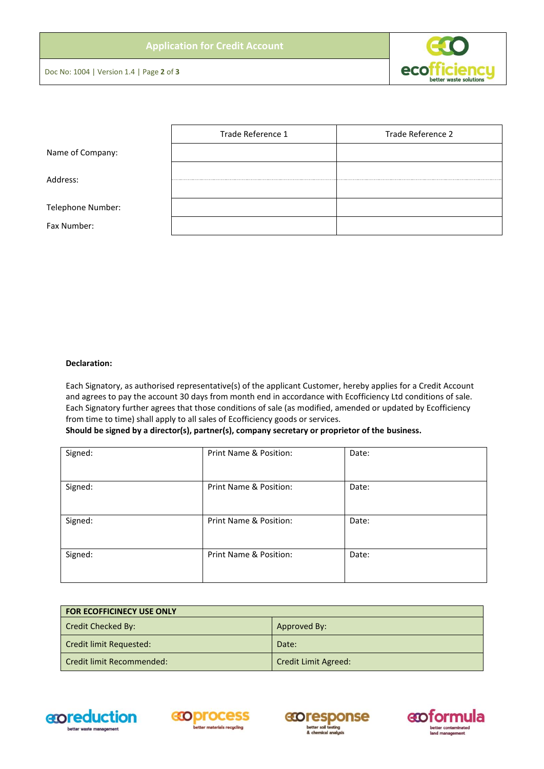

Doc No: 1004 | Version 1.4 | Page **2** of **3**

|                   | Trade Reference 1 | Trade Reference 2 |
|-------------------|-------------------|-------------------|
| Name of Company:  |                   |                   |
| Address:          |                   |                   |
| Telephone Number: |                   |                   |
| Fax Number:       |                   |                   |

## **Declaration:**

Each Signatory, as authorised representative(s) of the applicant Customer, hereby applies for a Credit Account and agrees to pay the account 30 days from month end in accordance with Ecofficiency Ltd conditions of sale. Each Signatory further agrees that those conditions of sale (as modified, amended or updated by Ecofficiency from time to time) shall apply to all sales of Ecofficiency goods or services.

### **Should be signed by a director(s), partner(s), company secretary or proprietor of the business.**

| Signed: | Print Name & Position: | Date: |
|---------|------------------------|-------|
| Signed: | Print Name & Position: | Date: |
| Signed: | Print Name & Position: | Date: |
| Signed: | Print Name & Position: | Date: |

| <b>FOR ECOFFICINECY USE ONLY</b> |                             |
|----------------------------------|-----------------------------|
| Credit Checked By:               | Approved By:                |
| Credit limit Requested:          | Date:                       |
| Credit limit Recommended:        | <b>Credit Limit Agreed:</b> |